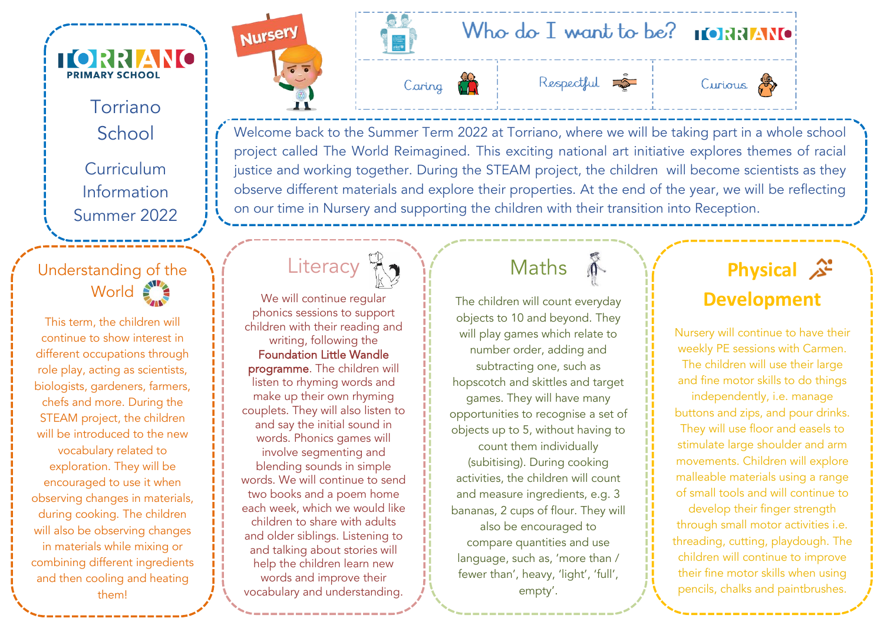

#### Torriano **School**

**Curriculum** Information Summer 2022

### Understanding of the World

This term, the children will continue to show interest in different occupations through role play, acting as scientists, biologists, gardeners, farmers, chefs and more. During the STEAM project, the children will be introduced to the new vocabulary related to exploration. They will be encouraged to use it when observing changes in materials, during cooking. The children will also be observing changes in materials while mixing or combining different ingredients and then cooling and heating them!















Welcome back to the Summer Term 2022 at Torriano, where we will be taking part in a whole school project called The World Reimagined. This exciting national art initiative explores themes of racial justice and working together. During the STEAM project, the children will become scientists as they observe different materials and explore their properties. At the end of the year, we will be reflecting on our time in Nursery and supporting the children with their transition into Reception.



We will continue regular phonics sessions to support children with their reading and writing, following the Foundation Little Wandle programme. The children will listen to rhyming words and make up their own rhyming couplets. They will also listen to and say the initial sound in words. Phonics games will involve segmenting and blending sounds in simple words. We will continue to send two books and a poem home each week, which we would like children to share with adults and older siblings. Listening to and talking about stories will help the children learn new words and improve their vocabulary and understanding.

# Maths

 $\sum_{i=1}^{\infty}$ 

The children will count everyday objects to 10 and beyond. They will play games which relate to number order, adding and subtracting one, such as hopscotch and skittles and target games. They will have many opportunities to recognise a set of objects up to 5, without having to count them individually (subitising). During cooking activities, the children will count and measure ingredients, e.g. 3 bananas, 2 cups of flour. They will also be encouraged to compare quantities and use language, such as, 'more than / fewer than', heavy, 'light', 'full', empty'.

# **Physical Development**

Nursery will continue to have their weekly PE sessions with Carmen. The children will use their large and fine motor skills to do things independently, i.e. manage buttons and zips, and pour drinks. They will use floor and easels to stimulate large shoulder and arm movements. Children will explore malleable materials using a range of small tools and will continue to develop their finger strength through small motor activities i.e. threading, cutting, playdough. The

children will continue to improve their fine motor skills when using pencils, chalks and paintbrushes.

During cooking, they will explore